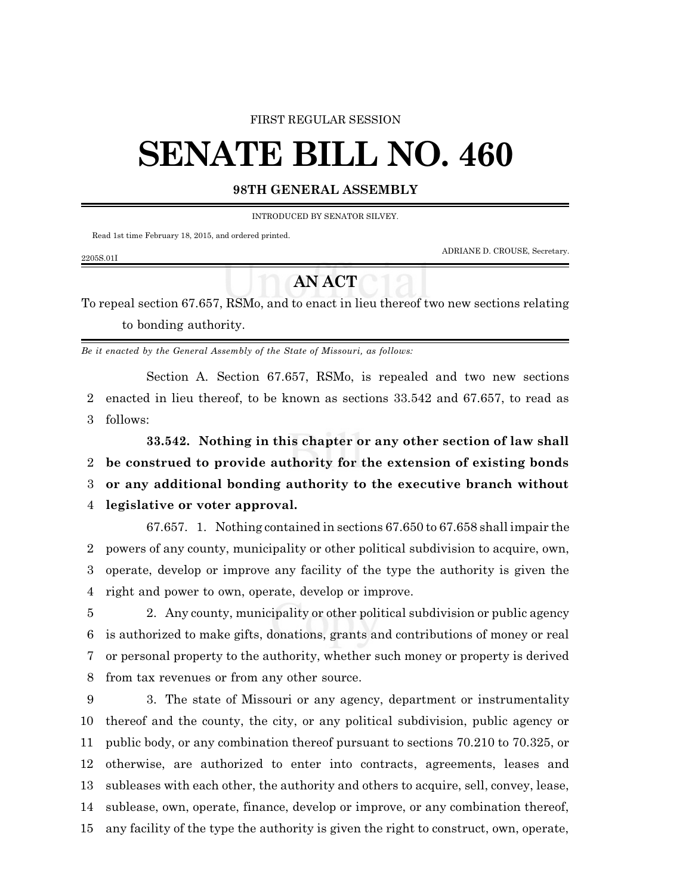### FIRST REGULAR SESSION

# **SENATE BILL NO. 460**

# **98TH GENERAL ASSEMBLY**

INTRODUCED BY SENATOR SILVEY.

Read 1st time February 18, 2015, and ordered printed.

ADRIANE D. CROUSE, Secretary.

#### 2205S.01I

# **AN ACT**

To repeal section 67.657, RSMo, and to enact in lieu thereof two new sections relating to bonding authority.

*Be it enacted by the General Assembly of the State of Missouri, as follows:*

Section A. Section 67.657, RSMo, is repealed and two new sections 2 enacted in lieu thereof, to be known as sections 33.542 and 67.657, to read as 3 follows:

**33.542. Nothing in this chapter or any other section of law shall**

2 **be construed to provide authority for the extension of existing bonds**

3 **or any additional bonding authority to the executive branch without**

# 4 **legislative or voter approval.**

67.657. 1. Nothing contained in sections 67.650 to 67.658 shall impair the powers of any county, municipality or other political subdivision to acquire, own, operate, develop or improve any facility of the type the authority is given the right and power to own, operate, develop or improve.

 2. Any county, municipality or other political subdivision or public agency is authorized to make gifts, donations, grants and contributions of money or real or personal property to the authority, whether such money or property is derived from tax revenues or from any other source.

 3. The state of Missouri or any agency, department or instrumentality thereof and the county, the city, or any political subdivision, public agency or public body, or any combination thereof pursuant to sections 70.210 to 70.325, or otherwise, are authorized to enter into contracts, agreements, leases and subleases with each other, the authority and others to acquire, sell, convey, lease, sublease, own, operate, finance, develop or improve, or any combination thereof, any facility of the type the authority is given the right to construct, own, operate,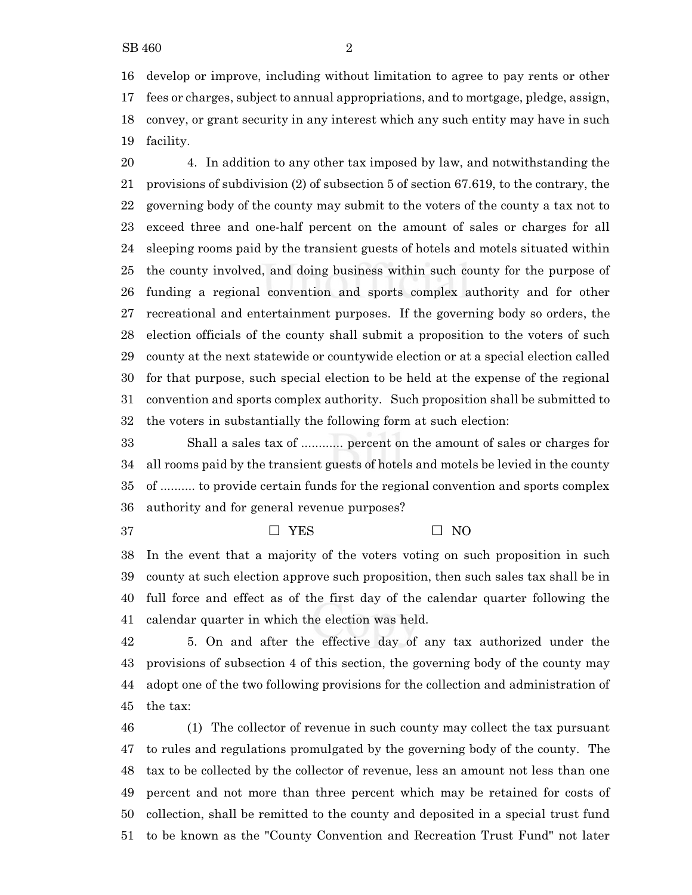develop or improve, including without limitation to agree to pay rents or other fees or charges, subject to annual appropriations, and to mortgage, pledge, assign, convey, or grant security in any interest which any such entity may have in such facility.

 4. In addition to any other tax imposed by law, and notwithstanding the provisions of subdivision (2) of subsection 5 of section 67.619, to the contrary, the governing body of the county may submit to the voters of the county a tax not to exceed three and one-half percent on the amount of sales or charges for all sleeping rooms paid by the transient guests of hotels and motels situated within the county involved, and doing business within such county for the purpose of funding a regional convention and sports complex authority and for other recreational and entertainment purposes. If the governing body so orders, the election officials of the county shall submit a proposition to the voters of such county at the next statewide or countywide election or at a special election called for that purpose, such special election to be held at the expense of the regional convention and sports complex authority. Such proposition shall be submitted to the voters in substantially the following form at such election:

 Shall a sales tax of ............ percent on the amount of sales or charges for all rooms paid by the transient guests of hotels and motels be levied in the county of .......... to provide certain funds for the regional convention and sports complex authority and for general revenue purposes?

# $\Box$  YES  $\Box$  NO

 In the event that a majority of the voters voting on such proposition in such county at such election approve such proposition, then such sales tax shall be in full force and effect as of the first day of the calendar quarter following the calendar quarter in which the election was held.

 5. On and after the effective day of any tax authorized under the provisions of subsection 4 of this section, the governing body of the county may adopt one of the two following provisions for the collection and administration of the tax:

 (1) The collector of revenue in such county may collect the tax pursuant to rules and regulations promulgated by the governing body of the county. The tax to be collected by the collector of revenue, less an amount not less than one percent and not more than three percent which may be retained for costs of collection, shall be remitted to the county and deposited in a special trust fund to be known as the "County Convention and Recreation Trust Fund" not later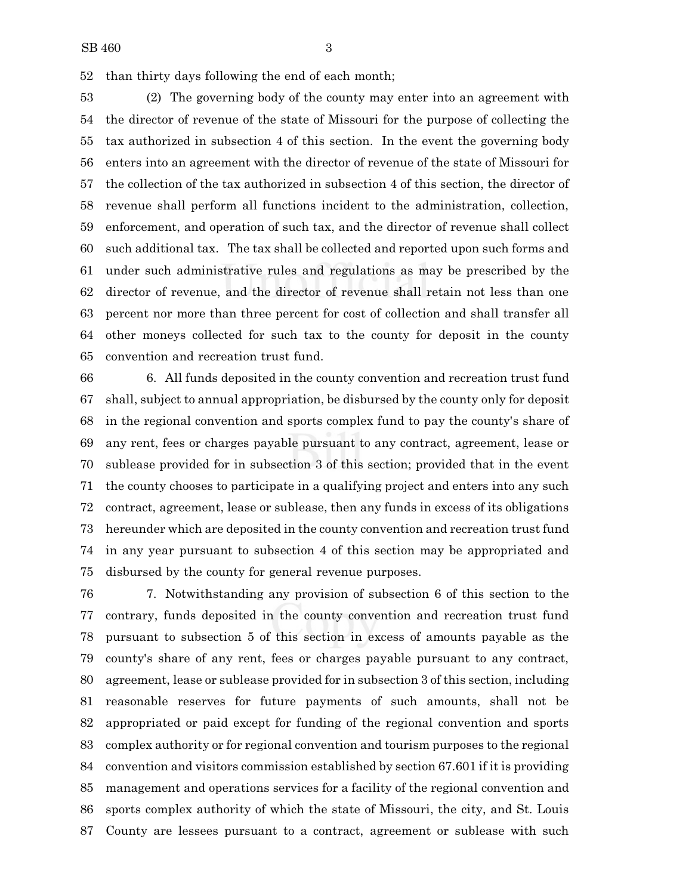than thirty days following the end of each month;

 (2) The governing body of the county may enter into an agreement with the director of revenue of the state of Missouri for the purpose of collecting the tax authorized in subsection 4 of this section. In the event the governing body enters into an agreement with the director of revenue of the state of Missouri for the collection of the tax authorized in subsection 4 of this section, the director of revenue shall perform all functions incident to the administration, collection, enforcement, and operation of such tax, and the director of revenue shall collect such additional tax. The tax shall be collected and reported upon such forms and under such administrative rules and regulations as may be prescribed by the director of revenue, and the director of revenue shall retain not less than one percent nor more than three percent for cost of collection and shall transfer all other moneys collected for such tax to the county for deposit in the county convention and recreation trust fund.

 6. All funds deposited in the county convention and recreation trust fund shall, subject to annual appropriation, be disbursed by the county only for deposit in the regional convention and sports complex fund to pay the county's share of any rent, fees or charges payable pursuant to any contract, agreement, lease or sublease provided for in subsection 3 of this section; provided that in the event the county chooses to participate in a qualifying project and enters into any such contract, agreement, lease or sublease, then any funds in excess of its obligations hereunder which are deposited in the county convention and recreation trust fund in any year pursuant to subsection 4 of this section may be appropriated and disbursed by the county for general revenue purposes.

 7. Notwithstanding any provision of subsection 6 of this section to the contrary, funds deposited in the county convention and recreation trust fund pursuant to subsection 5 of this section in excess of amounts payable as the county's share of any rent, fees or charges payable pursuant to any contract, agreement, lease or sublease provided for in subsection 3 of this section, including reasonable reserves for future payments of such amounts, shall not be appropriated or paid except for funding of the regional convention and sports complex authority or for regional convention and tourism purposes to the regional convention and visitors commission established by section 67.601 if it is providing management and operations services for a facility of the regional convention and sports complex authority of which the state of Missouri, the city, and St. Louis County are lessees pursuant to a contract, agreement or sublease with such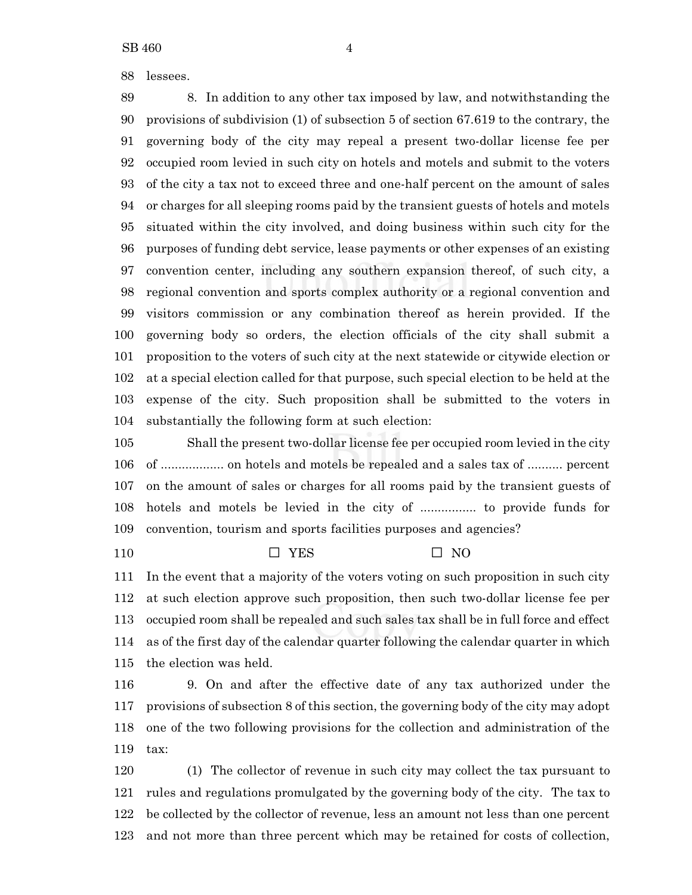lessees.

 8. In addition to any other tax imposed by law, and notwithstanding the provisions of subdivision (1) of subsection 5 of section 67.619 to the contrary, the governing body of the city may repeal a present two-dollar license fee per occupied room levied in such city on hotels and motels and submit to the voters of the city a tax not to exceed three and one-half percent on the amount of sales or charges for all sleeping rooms paid by the transient guests of hotels and motels situated within the city involved, and doing business within such city for the purposes of funding debt service, lease payments or other expenses of an existing convention center, including any southern expansion thereof, of such city, a regional convention and sports complex authority or a regional convention and visitors commission or any combination thereof as herein provided. If the governing body so orders, the election officials of the city shall submit a proposition to the voters of such city at the next statewide or citywide election or at a special election called for that purpose, such special election to be held at the expense of the city. Such proposition shall be submitted to the voters in substantially the following form at such election:

 Shall the present two-dollar license fee per occupied room levied in the city of .................. on hotels and motels be repealed and a sales tax of .......... percent on the amount of sales or charges for all rooms paid by the transient guests of hotels and motels be levied in the city of ................ to provide funds for convention, tourism and sports facilities purposes and agencies?

G YES G NO

 In the event that a majority of the voters voting on such proposition in such city at such election approve such proposition, then such two-dollar license fee per occupied room shall be repealed and such sales tax shall be in full force and effect as of the first day of the calendar quarter following the calendar quarter in which the election was held.

 9. On and after the effective date of any tax authorized under the provisions of subsection 8 of this section, the governing body of the city may adopt one of the two following provisions for the collection and administration of the tax:

 (1) The collector of revenue in such city may collect the tax pursuant to rules and regulations promulgated by the governing body of the city. The tax to be collected by the collector of revenue, less an amount not less than one percent and not more than three percent which may be retained for costs of collection,